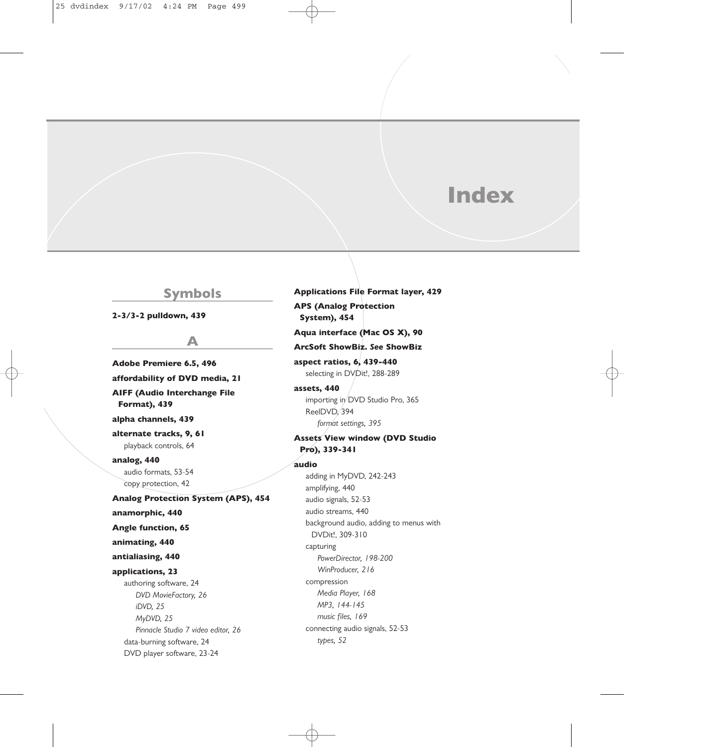# **Index**

## **Symbols**

**2-3/3-2 pulldown, 439**

## **A**

**Adobe Premiere 6.5, 496 affordability of DVD media, 21 AIFF (Audio Interchange File Format), 439 alpha channels, 439 alternate tracks, 9, 61** playback controls, 64 **analog, 440** audio formats, 53-54 copy protection, 42 **Analog Protection System (APS), 454 anamorphic, 440 Angle function, 65 animating, 440 antialiasing, 440 applications, 23** authoring software, 24 *DVD MovieFactory, 26 iDVD, 25 MyDVD, 25 Pinnacle Studio 7 video editor, 26* data-burning software, 24 DVD player software, 23-24

**Applications File Format layer, 429 APS (Analog Protection System), 454 Aqua interface (Mac OS X), 90 ArcSoft ShowBiz.** *See* **ShowBiz aspect ratios, 6, 439-440** selecting in DVDit!, 288-289 **assets, 440** importing in DVD Studio Pro, 365 ReelDVD, 394 *format settings, 395* **Assets View window (DVD Studio Pro), 339-341 audio** adding in MyDVD, 242-243 amplifying, 440 audio signals, 52-53 audio streams, 440 background audio, adding to menus with DVDit!, 309-310 capturing *PowerDirector, 198-200 WinProducer, 216* compression *Media Player, 168 MP3, 144-145 music files, 169* connecting audio signals, 52-53 *types, 52*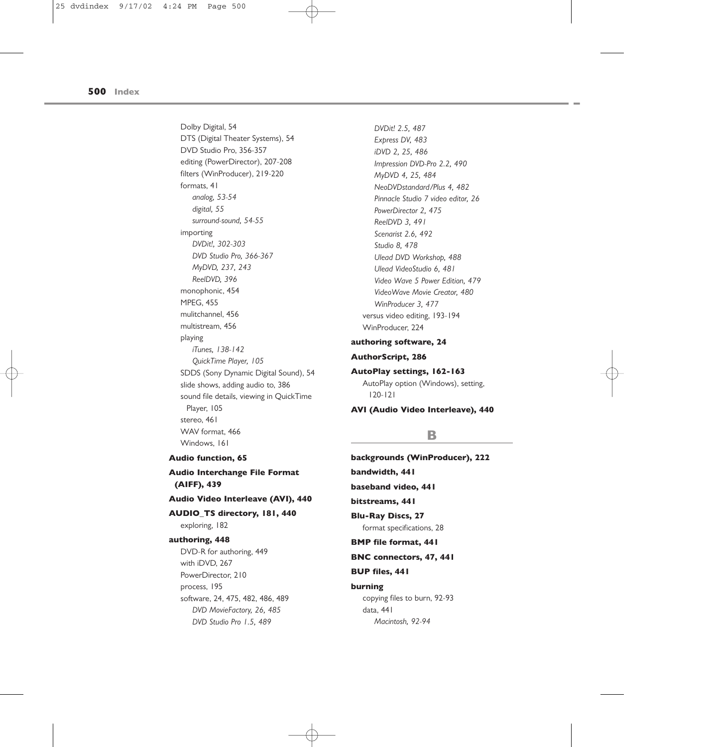Dolby Digital, 54 DTS (Digital Theater Systems), 54 DVD Studio Pro, 356-357 editing (PowerDirector), 207-208 filters (WinProducer), 219-220 formats, 41 *analog, 53-54 digital, 55 surround-sound, 54-55* importing *DVDit!, 302-303 DVD Studio Pro, 366-367 MyDVD, 237, 243 ReelDVD, 396* monophonic, 454 MPEG, 455 mulitchannel, 456 multistream, 456 playing *iTunes, 138-142 QuickTime Player, 105* SDDS (Sony Dynamic Digital Sound), 54 slide shows, adding audio to, 386 sound file details, viewing in QuickTime Player, 105 stereo, 461 WAV format, 466 Windows, 161

*DVDit! 2.5, 487 Express DV, 483 iDVD 2, 25, 486 Impression DVD-Pro 2.2, 490 MyDVD 4, 25, 484 NeoDVDstandard/Plus 4, 482 Pinnacle Studio 7 video editor, 26 PowerDirector 2, 475 ReelDVD 3, 491 Scenarist 2.6, 492 Studio 8, 478 Ulead DVD Workshop, 488 Ulead VideoStudio 6, 481 Video Wave 5 Power Edition, 479 VideoWave Movie Creator, 480 WinProducer 3, 477* versus video editing, 193-194 WinProducer, 224 **authoring software, 24**

## **AuthorScript, 286**

**AutoPlay settings, 162-163** AutoPlay option (Windows), setting, 120-121

**AVI (Audio Video Interleave), 440**

## **B**

**backgrounds (WinProducer), 222 bandwidth, 441 baseband video, 441 bitstreams, 441 Blu-Ray Discs, 27** format specifications, 28 **BMP file format, 441 BNC connectors, 47, 441 BUP files, 441 burning**  copying files to burn, 92-93 data, 441 *Macintosh, 92-94*

**Audio function, 65**

**Audio Interchange File Format (AIFF), 439**

## **Audio Video Interleave (AVI), 440**

**AUDIO\_TS directory, 181, 440** exploring, 182

### **authoring, 448**

DVD-R for authoring, 449 with iDVD, 267 PowerDirector, 210 process, 195 software, 24, 475, 482, 486, 489 *DVD MovieFactory, 26, 485 DVD Studio Pro 1.5, 489*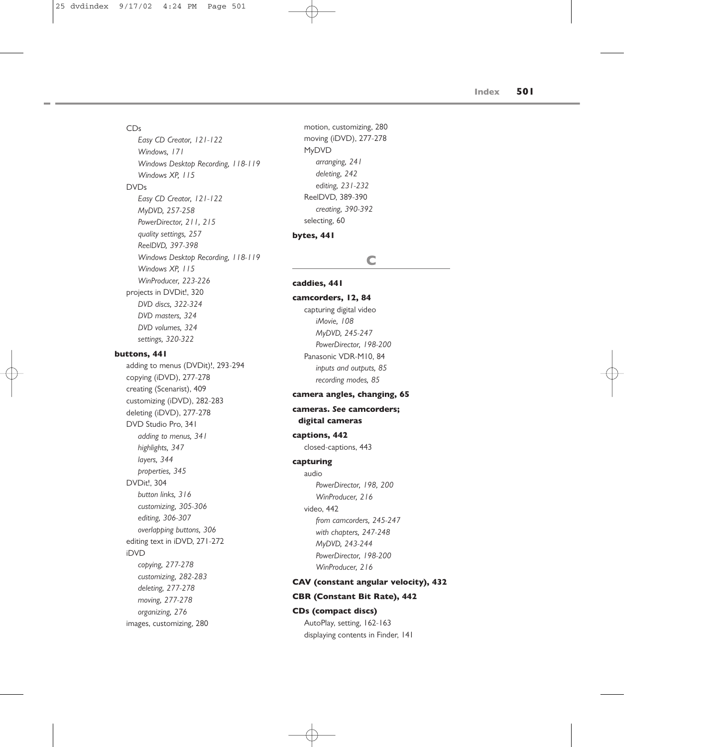## CDs

*Easy CD Creator, 121-122 Windows, 171 Windows Desktop Recording, 118-119 Windows XP, 115* DVDs *Easy CD Creator, 121-122 MyDVD, 257-258 PowerDirector, 211, 215 quality settings, 257 ReelDVD, 397-398 Windows Desktop Recording, 118-119 Windows XP, 115 WinProducer, 223-226* projects in DVDit!, 320 *DVD discs, 322-324 DVD masters, 324 DVD volumes, 324 settings, 320-322* **buttons, 441** adding to menus (DVDit)!, 293-294 copying (iDVD), 277-278 creating (Scenarist), 409 customizing (iDVD), 282-283 deleting (iDVD), 277-278 DVD Studio Pro, 341 *adding to menus, 341 highlights, 347 layers, 344 properties, 345* DVDit!, 304 *button links, 316 customizing, 305-306 editing, 306-307 overlapping buttons, 306* editing text in iDVD, 271-272 iDVD *copying, 277-278 customizing, 282-283 deleting, 277-278 moving, 277-278 organizing, 276* images, customizing, 280

motion, customizing, 280 moving (iDVD), 277-278 MyDVD *arranging, 241 deleting, 242 editing, 231-232* ReelDVD, 389-390 *creating, 390-392* selecting, 60

#### **bytes, 441**

## **C caddies, 441 camcorders, 12, 84** capturing digital video *iMovie, 108 MyDVD, 245-247 PowerDirector, 198-200* Panasonic VDR-M10, 84 *inputs and outputs, 85*

## *recording modes, 85* **camera angles, changing, 65**

## **cameras.** *See* **camcorders; digital cameras**

## **captions, 442**

closed-captions, 443

## **capturing**

audio *PowerDirector, 198, 200 WinProducer, 216* video, 442 *from camcorders, 245-247 with chapters, 247-248 MyDVD, 243-244 PowerDirector, 198-200 WinProducer, 216*

## **CAV (constant angular velocity), 432**

### **CBR (Constant Bit Rate), 442**

### **CDs (compact discs)**

AutoPlay, setting, 162-163 displaying contents in Finder, 141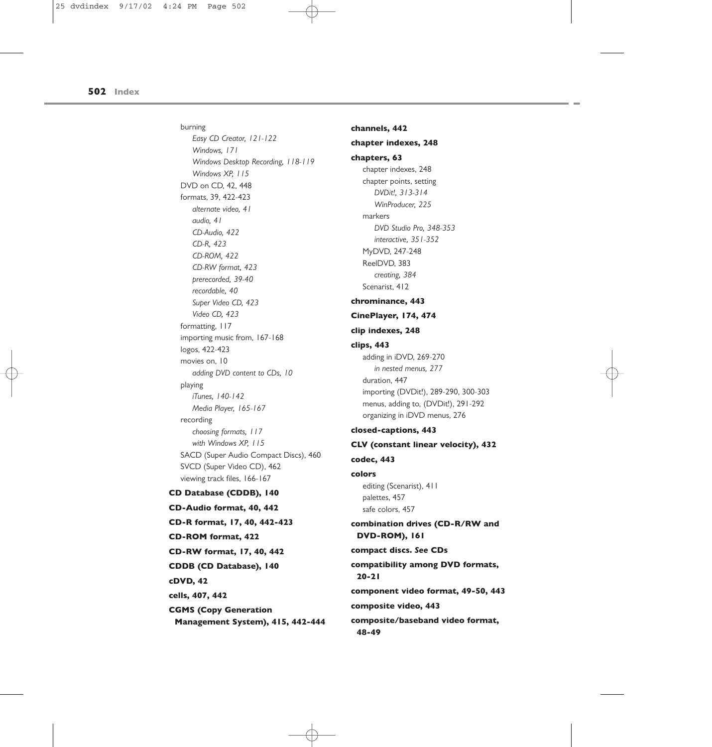burning *Easy CD Creator, 121-122 Windows, 171 Windows Desktop Recording, 118-119 Windows XP, 115* DVD on CD, 42, 448 formats, 39, 422-423 *alternate video, 41 audio, 41 CD-Audio, 422 CD-R, 423 CD-ROM, 422 CD-RW format, 423 prerecorded, 39-40 recordable, 40 Super Video CD, 423 Video CD, 423* formatting, 117 importing music from, 167-168 logos, 422-423 movies on, 10 *adding DVD content to CDs, 10* playing *iTunes, 140-142 Media Player, 165-167* recording *choosing formats, 117 with Windows XP, 115* SACD (Super Audio Compact Discs), 460 SVCD (Super Video CD), 462 viewing track files, 166-167 **CD Database (CDDB), 140 CD-Audio format, 40, 442 CD-R format, 17, 40, 442-423 CD-ROM format, 422 CD-RW format, 17, 40, 442 CDDB (CD Database), 140 cDVD, 42**

**cells, 407, 442**

**CGMS (Copy Generation**

**Management System), 415, 442-444**

**channels, 442 chapter indexes, 248 chapters, 63** chapter indexes, 248 chapter points, setting *DVDit!, 313-314 WinProducer, 225* markers *DVD Studio Pro, 348-353 interactive, 351-352* MyDVD, 247-248 ReelDVD, 383 *creating, 384* Scenarist, 412 **chrominance, 443 CinePlayer, 174, 474 clip indexes, 248 clips, 443** adding in iDVD, 269-270 *in nested menus, 277* duration, 447 importing (DVDit!), 289-290, 300-303 menus, adding to, (DVDit!), 291-292 organizing in iDVD menus, 276 **closed-captions, 443 CLV (constant linear velocity), 432 codec, 443 colors** editing (Scenarist), 411 palettes, 457 safe colors, 457 **combination drives (CD-R/RW and DVD-ROM), 161 compact discs.** *See* **CDs compatibility among DVD formats, 20-21 component video format, 49-50, 443 composite video, 443 composite/baseband video format, 48-49**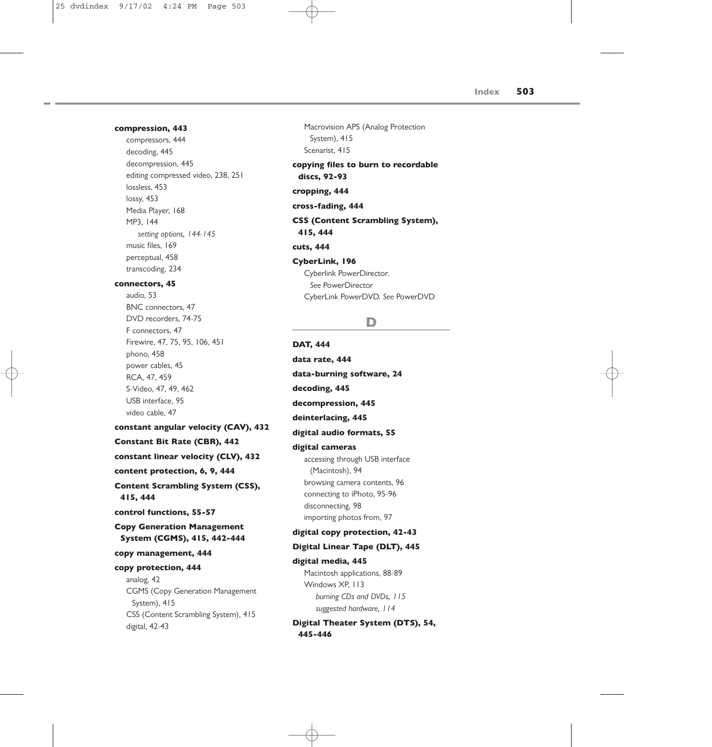#### **compression, 443**

compressors, 444 decoding, 445 decompression, 445 editing compressed video, 238, 251 lossless, 453 lossy, 453 Media Player, 168 MP3, 144 *setting options, 144-145* music files, 169 perceptual, 458 transcoding, 234

#### **connectors, 45**

audio, 53 BNC connectors, 47 DVD recorders, 74-75 F connectors, 47 Firewire, 47, 75, 95, 106, 451 phono, 458 power cables, 45 RCA, 47, 459 S-Video, 47, 49, 462 USB interface, 95 video cable, 47

### **constant angular velocity (CAV), 432**

**Constant Bit Rate (CBR), 442**

**constant linear velocity (CLV), 432**

**content protection, 6, 9, 444**

**Content Scrambling System (CSS), 415, 444**

**control functions, 55-57**

**Copy Generation Management System (CGMS), 415, 442-444**

## **copy management, 444**

#### **copy protection, 444**

analog, 42 CGMS (Copy Generation Management System), 415 CSS (Content Scrambling System), 415 digital, 42-43

Macrovision APS (Analog Protection System), 415 Scenarist, 415

**copying files to burn to recordable discs, 92-93**

**cropping, 444**

**cross-fading, 444**

## **CSS (Content Scrambling System), 415, 444**

**cuts, 444**

#### **CyberLink, 196**

Cyberlink PowerDirector. *See* PowerDirector CyberLink PowerDVD. *See* PowerDVD

## **D**

**DAT, 444 data rate, 444 data-burning software, 24 decoding, 445 decompression, 445 deinterlacing, 445 digital audio formats, 55 digital cameras** accessing through USB interface (Macintosh), 94 browsing camera contents, 96 connecting to iPhoto, 95-96 disconnecting, 98 importing photos from, 97 **digital copy protection, 42-43 Digital Linear Tape (DLT), 445 digital media, 445** Macintosh applications, 88-89 Windows XP, 113 *burning CDs and DVDs, 115*

*suggested hardware, 114*

## **Digital Theater System (DTS), 54, 445-446**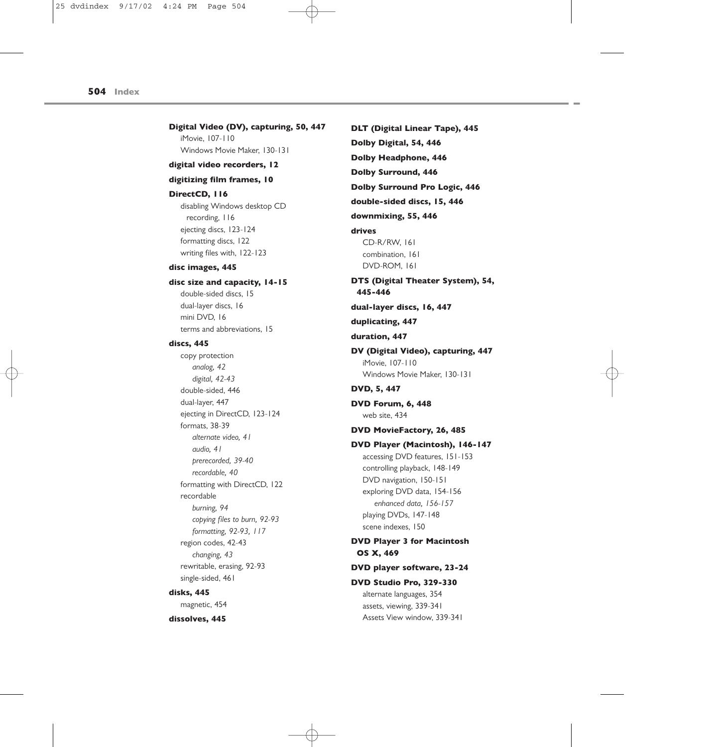**Digital Video (DV), capturing, 50, 447** iMovie, 107-110 Windows Movie Maker, 130-131

**digital video recorders, 12**

### **digitizing film frames, 10**

#### **DirectCD, 116**

disabling Windows desktop CD recording, 116 ejecting discs, 123-124 formatting discs, 122 writing files with, 122-123

#### **disc images, 445**

#### **disc size and capacity, 14-15**

double-sided discs, 15 dual-layer discs, 16 mini DVD, 16 terms and abbreviations, 15

### **discs, 445**

copy protection *analog, 42 digital, 42-43* double-sided, 446 dual-layer, 447 ejecting in DirectCD, 123-124 formats, 38-39 *alternate video, 41 audio, 41 prerecorded, 39-40 recordable, 40* formatting with DirectCD, 122 recordable *burning, 94 copying files to burn, 92-93 formatting, 92-93, 117* region codes, 42-43 *changing, 43* rewritable, erasing, 92-93 single-sided, 461

## **disks, 445**

magnetic, 454

**dissolves, 445**

**DLT (Digital Linear Tape), 445 Dolby Digital, 54, 446 Dolby Headphone, 446 Dolby Surround, 446 Dolby Surround Pro Logic, 446 double-sided discs, 15, 446 downmixing, 55, 446 drives** CD-R/RW, 161 combination, 161 DVD-ROM, 161 **DTS (Digital Theater System), 54, 445-446 dual-layer discs, 16, 447 duplicating, 447 duration, 447 DV (Digital Video), capturing, 447** iMovie, 107-110 Windows Movie Maker, 130-131 **DVD, 5, 447 DVD Forum, 6, 448** web site, 434 **DVD MovieFactory, 26, 485 DVD Player (Macintosh), 146-147** accessing DVD features, 151-153 controlling playback, 148-149 DVD navigation, 150-151 exploring DVD data, 154-156 *enhanced data, 156-157* playing DVDs, 147-148 scene indexes, 150 **DVD Player 3 for Macintosh OS X, 469 DVD player software, 23-24 DVD Studio Pro, 329-330** alternate languages, 354 assets, viewing, 339-341

Assets View window, 339-341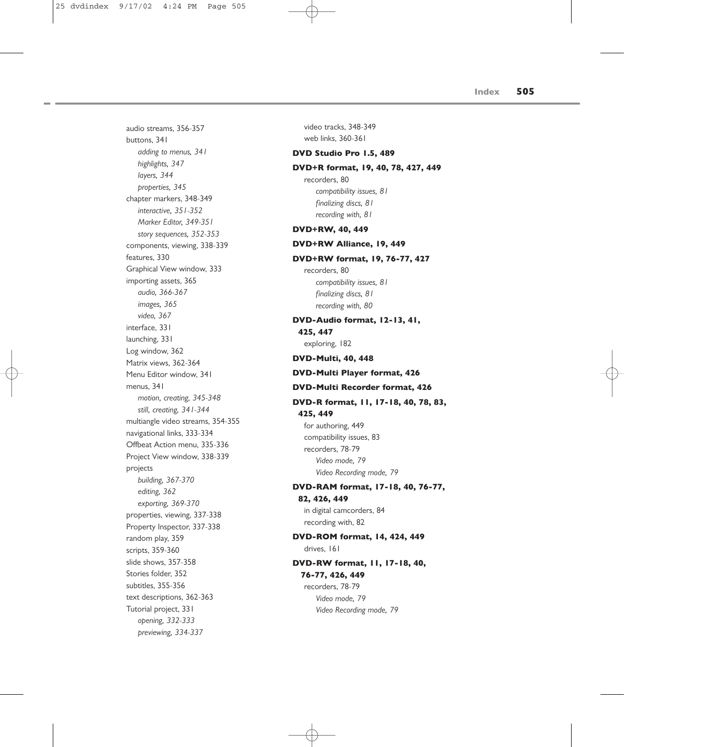audio streams, 356-357 buttons, 341 *adding to menus, 341 highlights, 347 layers, 344 properties, 345* chapter markers, 348-349 *interactive, 351-352 Marker Editor, 349-351 story sequences, 352-353* components, viewing, 338-339 features, 330 Graphical View window, 333 importing assets, 365 *audio, 366-367 images, 365 video, 367* interface, 331 launching, 331 Log window, 362 Matrix views, 362-364 Menu Editor window, 341 menus, 341 *motion, creating, 345-348 still, creating, 341-344* multiangle video streams, 354-355 navigational links, 333-334 Offbeat Action menu, 335-336 Project View window, 338-339 projects *building, 367-370 editing, 362 exporting, 369-370* properties, viewing, 337-338 Property Inspector, 337-338 random play, 359 scripts, 359-360 slide shows, 357-358 Stories folder, 352 subtitles, 355-356 text descriptions, 362-363 Tutorial project, 331 *opening, 332-333 previewing, 334-337*

video tracks, 348-349 web links, 360-361

#### **DVD Studio Pro 1.5, 489**

#### **DVD+R format, 19, 40, 78, 427, 449**

recorders, 80 *compatibility issues, 81 finalizing discs, 81 recording with, 81*

### **DVD+RW, 40, 449**

#### **DVD+RW Alliance, 19, 449**

#### **DVD+RW format, 19, 76-77, 427**

recorders, 80 *compatibility issues, 81 finalizing discs, 81 recording with, 80*

## **DVD-Audio format, 12-13, 41, 425, 447**

exploring, 182

**DVD-Multi, 40, 448**

## **DVD-Multi Player format, 426**

#### **DVD-Multi Recorder format, 426**

## **DVD-R format, 11, 17-18, 40, 78, 83, 425, 449**

for authoring, 449 compatibility issues, 83 recorders, 78-79 *Video mode, 79 Video Recording mode, 79*

## **DVD-RAM format, 17-18, 40, 76-77,**

**82, 426, 449** in digital camcorders, 84 recording with, 82

## **DVD-ROM format, 14, 424, 449** drives, 161

## **DVD-RW format, 11, 17-18, 40, 76-77, 426, 449**

recorders, 78-79 *Video mode, 79 Video Recording mode, 79*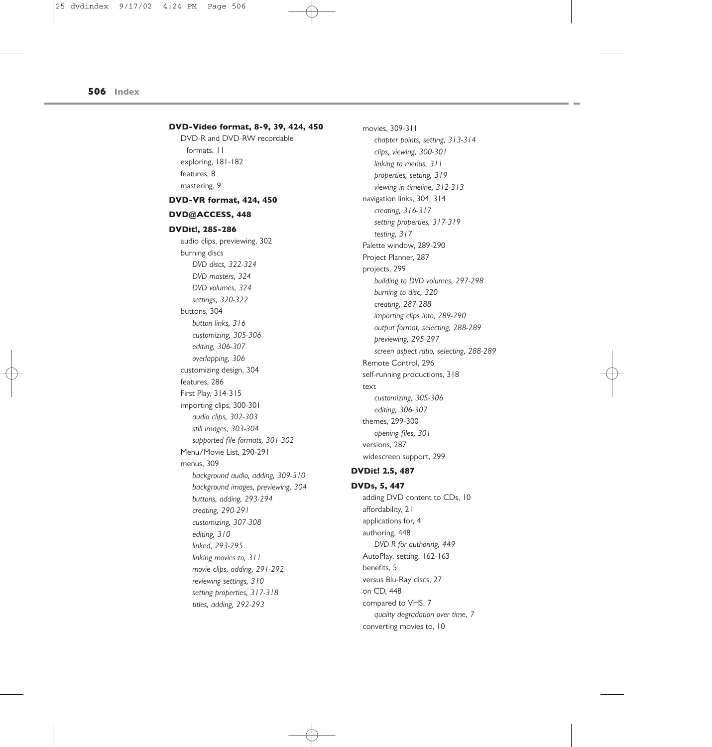## **DVD-Video format, 8-9, 39, 424, 450** DVD-R and DVD-RW recordable formats, 11 exploring, 181-182 features, 8 mastering, 9 **DVD-VR format, 424, 450 DVD@ACCESS, 448 DVDit!, 285-286** audio clips, previewing, 302 burning discs *DVD discs, 322-324 DVD masters, 324 DVD volumes, 324 settings, 320-322* buttons, 304 *button links, 316 customizing, 305-306 editing, 306-307 overlapping, 306* customizing design, 304 features, 286 First Play, 314-315 importing clips, 300-301 *audio clips, 302-303 still images, 303-304 supported file formats, 301-302* Menu/Movie List, 290-291 menus, 309 *background audio, adding, 309-310 background images, previewing, 304 buttons, adding, 293-294 creating, 290-291 customizing, 307-308 editing, 310 linked, 293-295 linking movies to, 311 movie clips, adding, 291-292 reviewing settings, 310 setting properties, 317-318 titles, adding, 292-293*

movies, 309-311 *chapter points, setting, 313-314 clips, viewing, 300-301 linking to menus, 311 properties, setting, 319 viewing in timeline, 312-313* navigation links, 304, 314 *creating, 316-317 setting properties, 317-319 testing, 317* Palette window, 289-290 Project Planner, 287 projects, 299 *building to DVD volumes, 297-298 burning to disc, 320 creating, 287-288 importing clips into, 289-290 output format, selecting, 288-289 previewing, 295-297 screen aspect ratio, selecting, 288-289* Remote Control, 296 self-running productions, 318 text *customizing, 305-306 editing, 306-307* themes, 299-300 *opening files, 301* versions, 287 widescreen support, 299

## **DVDit! 2.5, 487**

## **DVDs, 5, 447** adding DVD content to CDs, 10 affordability, 21 applications for, 4 authoring, 448 *DVD-R for authoring, 449* AutoPlay, setting, 162-163 benefits, 5 versus Blu-Ray discs, 27 on CD, 448 compared to VHS, 7 *quality degradation over time, 7* converting movies to, 10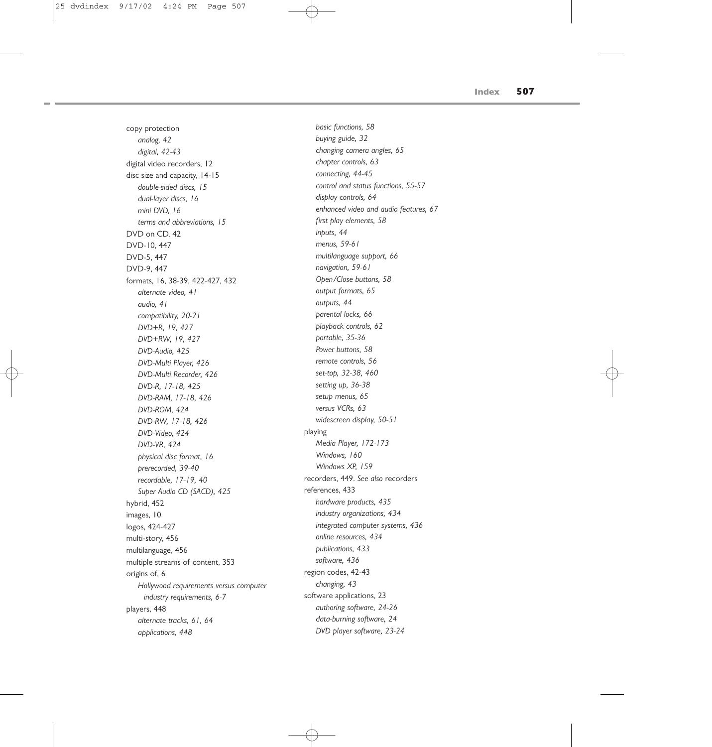copy protection *analog, 42 digital, 42-43* digital video recorders, 12 disc size and capacity, 14-15 *double-sided discs, 15 dual-layer discs, 16 mini DVD, 16 terms and abbreviations, 15* DVD on CD, 42 DVD-10, 447 DVD-5, 447 DVD-9, 447 formats, 16, 38-39, 422-427, 432 *alternate video, 41 audio, 41 compatibility, 20-21 DVD+R, 19, 427 DVD+RW, 19, 427 DVD-Audio, 425 DVD-Multi Player, 426 DVD-Multi Recorder, 426 DVD-R, 17-18, 425 DVD-RAM, 17-18, 426 DVD-ROM, 424 DVD-RW, 17-18, 426 DVD-Video, 424 DVD-VR, 424 physical disc format, 16 prerecorded, 39-40 recordable, 17-19, 40 Super Audio CD (SACD), 425* hybrid, 452 images, 10 logos, 424-427 multi-story, 456 multilanguage, 456 multiple streams of content, 353 origins of, 6 *Hollywood requirements versus computer industry requirements, 6-7* players, 448 *alternate tracks, 61, 64 applications, 448*

*basic functions, 58 buying guide, 32 changing camera angles, 65 chapter controls, 63 connecting, 44-45 control and status functions, 55-57 display controls, 64 enhanced video and audio features, 67 first play elements, 58 inputs, 44 menus, 59-61 multilanguage support, 66 navigation, 59-61 Open/Close buttons, 58 output formats, 65 outputs, 44 parental locks, 66 playback controls, 62 portable, 35-36 Power buttons, 58 remote controls, 56 set-top, 32-38, 460 setting up, 36-38 setup menus, 65 versus VCRs, 63 widescreen display, 50-51* playing *Media Player, 172-173 Windows, 160 Windows XP, 159* recorders, 449. *See also* recorders references, 433 *hardware products, 435 industry organizations, 434 integrated computer systems, 436 online resources, 434 publications, 433 software, 436* region codes, 42-43 *changing, 43* software applications, 23 *authoring software, 24-26 data-burning software, 24 DVD player software, 23-24*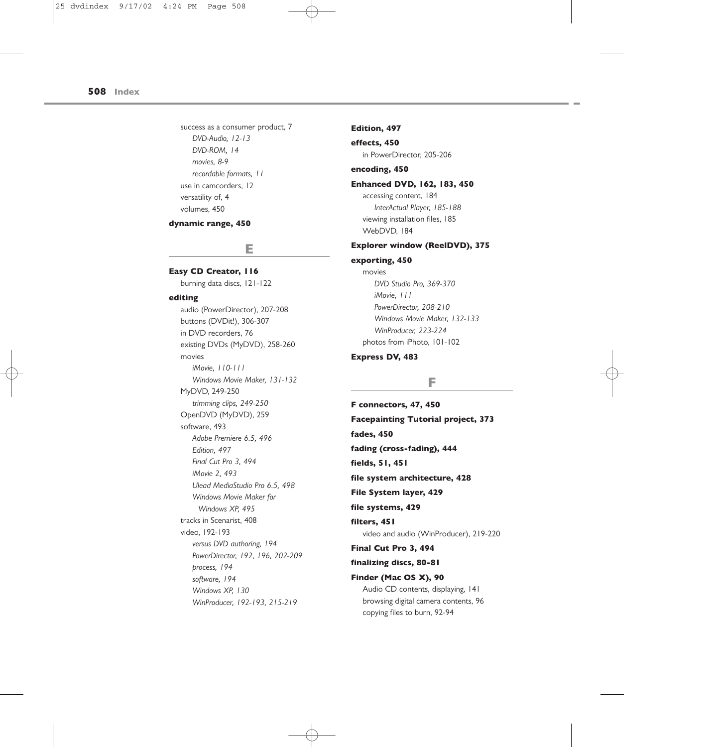success as a consumer product, 7 *DVD-Audio, 12-13 DVD-ROM, 14 movies, 8-9 recordable formats, 11* use in camcorders, 12 versatility of, 4 volumes, 450

#### **dynamic range, 450**

## **E**

## **Easy CD Creator, 116**

burning data discs, 121-122

#### **editing**

audio (PowerDirector), 207-208 buttons (DVDit!), 306-307 in DVD recorders, 76 existing DVDs (MyDVD), 258-260 movies *iMovie, 110-111 Windows Movie Maker, 131-132* MyDVD, 249-250 *trimming clips, 249-250* OpenDVD (MyDVD), 259 software, 493 *Adobe Premiere 6.5, 496 Edition, 497 Final Cut Pro 3, 494 iMovie 2, 493 Ulead MediaStudio Pro 6.5, 498 Windows Movie Maker for Windows XP, 495* tracks in Scenarist, 408 video, 192-193 *versus DVD authoring, 194 PowerDirector, 192, 196, 202-209 process, 194 software, 194 Windows XP, 130 WinProducer, 192-193, 215-219*

#### **Edition, 497**

**effects, 450** in PowerDirector, 205-206

## **encoding, 450**

## **Enhanced DVD, 162, 183, 450**

accessing content, 184 *InterActual Player, 185-188* viewing installation files, 185 WebDVD, 184

## **Explorer window (ReelDVD), 375**

## **exporting, 450**

movies *DVD Studio Pro, 369-370 iMovie, 111 PowerDirector, 208-210 Windows Movie Maker, 132-133 WinProducer, 223-224* photos from iPhoto, 101-102

## **Express DV, 483**

## **F**

**F connectors, 47, 450 Facepainting Tutorial project, 373 fades, 450 fading (cross-fading), 444 fields, 51, 451 file system architecture, 428 File System layer, 429 file systems, 429 filters, 451** video and audio (WinProducer), 219-220 **Final Cut Pro 3, 494 finalizing discs, 80-81 Finder (Mac OS X), 90** Audio CD contents, displaying, 141 browsing digital camera contents, 96 copying files to burn, 92-94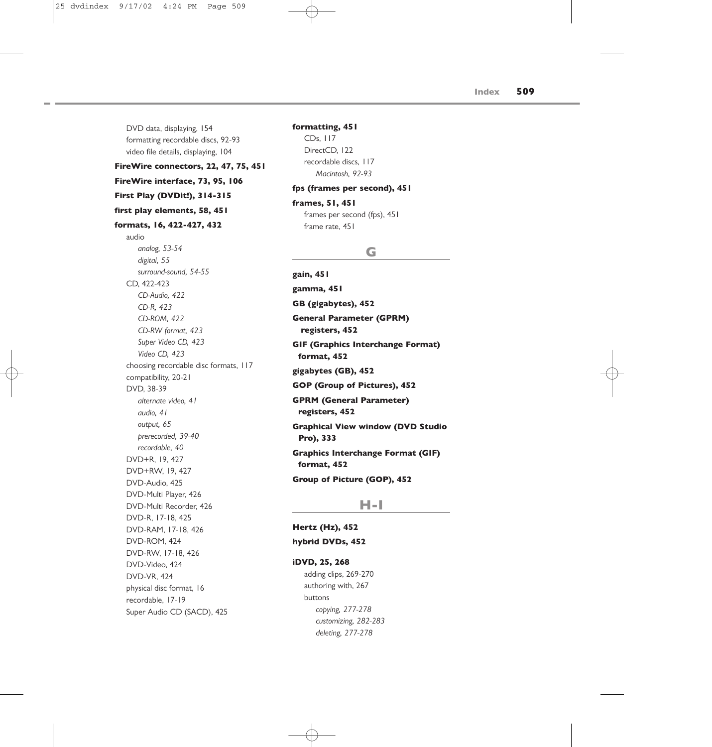DVD data, displaying, 154 formatting recordable discs, 92-93 video file details, displaying, 104 **FireWire connectors, 22, 47, 75, 451 FireWire interface, 73, 95, 106 First Play (DVDit!), 314-315 first play elements, 58, 451 formats, 16, 422-427, 432** audio *analog, 53-54 digital, 55 surround-sound, 54-55* CD, 422-423 *CD-Audio, 422 CD-R, 423 CD-ROM, 422 CD-RW format, 423 Super Video CD, 423 Video CD, 423* choosing recordable disc formats, 117 compatibility, 20-21 DVD, 38-39 *alternate video, 41 audio, 41 output, 65 prerecorded, 39-40 recordable, 40* DVD+R, 19, 427 DVD+RW, 19, 427 DVD-Audio, 425 DVD-Multi Player, 426 DVD-Multi Recorder, 426 DVD-R, 17-18, 425 DVD-RAM, 17-18, 426 DVD-ROM, 424 DVD-RW, 17-18, 426 DVD-Video, 424 DVD-VR, 424 physical disc format, 16 recordable, 17-19 Super Audio CD (SACD), 425

## **formatting, 451**

CDs, 117 DirectCD, 122 recordable discs, 117 *Macintosh, 92-93*

## **fps (frames per second), 451**

## **frames, 51, 451** frames per second (fps), 451 frame rate, 451

## **G**

**gain, 451 gamma, 451 GB (gigabytes), 452 General Parameter (GPRM) registers, 452 GIF (Graphics Interchange Format) format, 452 gigabytes (GB), 452 GOP (Group of Pictures), 452 GPRM (General Parameter) registers, 452 Graphical View window (DVD Studio Pro), 333 Graphics Interchange Format (GIF) format, 452 Group of Picture (GOP), 452**

## **H-I**

**Hertz (Hz), 452 hybrid DVDs, 452 iDVD, 25, 268**

> adding clips, 269-270 authoring with, 267 buttons *copying, 277-278 customizing, 282-283 deleting, 277-278*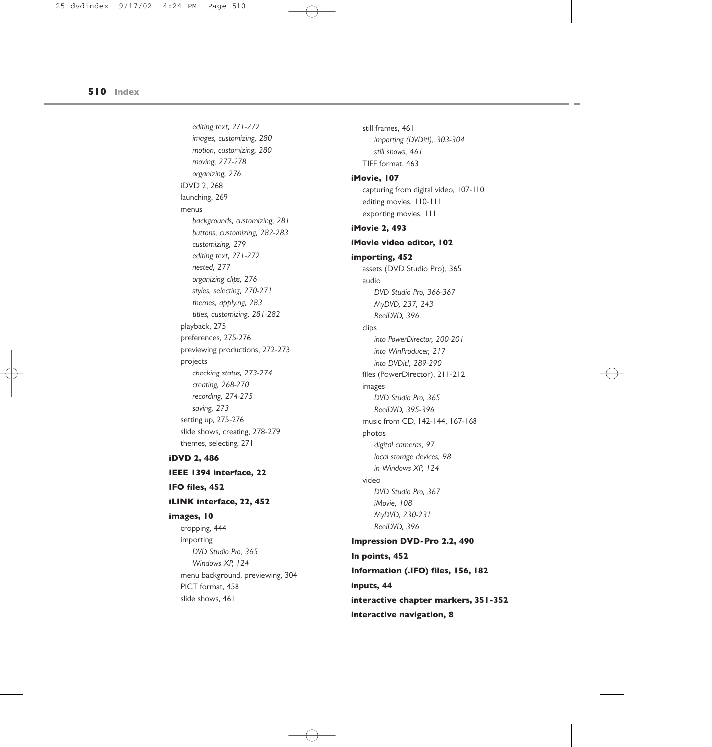*editing text, 271-272 images, customizing, 280 motion, customizing, 280 moving, 277-278 organizing, 276* iDVD 2, 268 launching, 269 menus *backgrounds, customizing, 281 buttons, customizing, 282-283 customizing, 279 editing text, 271-272 nested, 277 organizing clips, 276 styles, selecting, 270-271 themes, applying, 283 titles, customizing, 281-282* playback, 275 preferences, 275-276 previewing productions, 272-273 projects *checking status, 273-274 creating, 268-270 recording, 274-275 saving, 273* setting up, 275-276 slide shows, creating, 278-279 themes, selecting, 271 **iDVD 2, 486 IEEE 1394 interface, 22**

**IFO files, 452**

#### **iLINK interface, 22, 452**

#### **images, 10**

cropping, 444 importing *DVD Studio Pro, 365 Windows XP, 124* menu background, previewing, 304 PICT format, 458 slide shows, 461

still frames, 461 *importing (DVDit!), 303-304 still shows, 461* TIFF format, 463 **iMovie, 107** capturing from digital video, 107-110 editing movies, 110-111 exporting movies, 111 **iMovie 2, 493 iMovie video editor, 102 importing, 452** assets (DVD Studio Pro), 365 audio *DVD Studio Pro, 366-367 MyDVD, 237, 243 ReelDVD, 396* clips *into PowerDirector, 200-201 into WinProducer, 217 into DVDit!, 289-290* files (PowerDirector), 211-212 images *DVD Studio Pro, 365 ReelDVD, 395-396* music from CD, 142-144, 167-168 photos *digital cameras, 97 local storage devices, 98 in Windows XP, 124* video *DVD Studio Pro, 367 iMovie, 108 MyDVD, 230-231 ReelDVD, 396* **Impression DVD-Pro 2.2, 490 In points, 452 Information (.IFO) files, 156, 182 inputs, 44 interactive chapter markers, 351-352 interactive navigation, 8**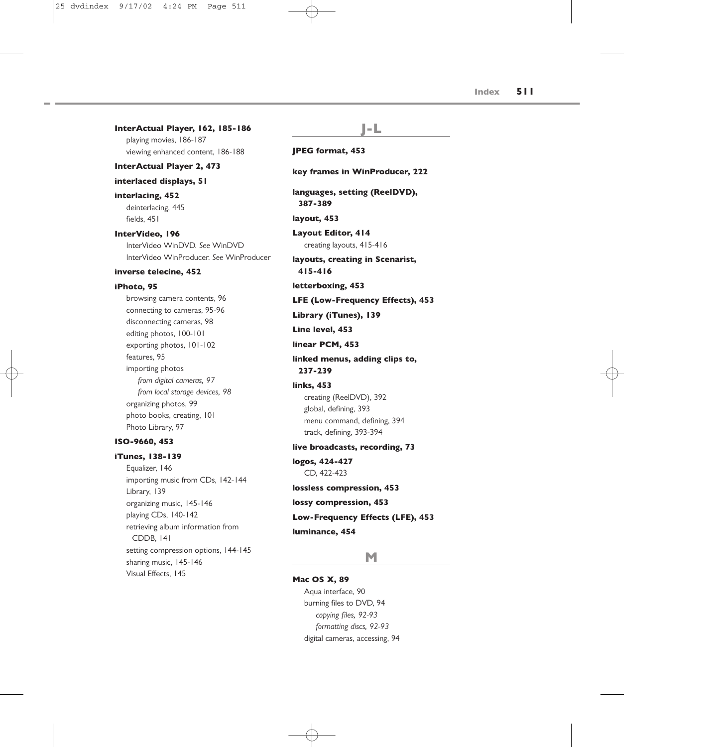| InterActual Player, 162, 185-186                                                                                                                                                                                                                                                                                                | I-L                                                                                                                                                                                                                                                                                     |
|---------------------------------------------------------------------------------------------------------------------------------------------------------------------------------------------------------------------------------------------------------------------------------------------------------------------------------|-----------------------------------------------------------------------------------------------------------------------------------------------------------------------------------------------------------------------------------------------------------------------------------------|
| playing movies, 186-187<br>viewing enhanced content, 186-188                                                                                                                                                                                                                                                                    | <b>JPEG format, 453</b>                                                                                                                                                                                                                                                                 |
| <b>InterActual Player 2, 473</b>                                                                                                                                                                                                                                                                                                |                                                                                                                                                                                                                                                                                         |
| interlaced displays, 51                                                                                                                                                                                                                                                                                                         | key frames in WinProducer, 222                                                                                                                                                                                                                                                          |
| interlacing, 452<br>deinterlacing, 445                                                                                                                                                                                                                                                                                          | languages, setting (ReelDVD),<br>387-389                                                                                                                                                                                                                                                |
| fields, 451                                                                                                                                                                                                                                                                                                                     | layout, 453                                                                                                                                                                                                                                                                             |
| InterVideo, 196<br>InterVideo WinDVD, See WinDVD<br>InterVideo WinProducer. See WinProducer                                                                                                                                                                                                                                     | <b>Layout Editor, 414</b><br>creating layouts, 415-416<br>layouts, creating in Scenarist,                                                                                                                                                                                               |
| inverse telecine, 452                                                                                                                                                                                                                                                                                                           | 415-416                                                                                                                                                                                                                                                                                 |
| iPhoto, 95                                                                                                                                                                                                                                                                                                                      | letterboxing, 453                                                                                                                                                                                                                                                                       |
| browsing camera contents, 96<br>connecting to cameras, 95-96<br>disconnecting cameras, 98<br>editing photos, 100-101<br>exporting photos, 101-102<br>features. 95<br>importing photos<br>from digital cameras, 97<br>from local storage devices, 98<br>organizing photos, 99<br>photo books, creating, 101<br>Photo Library, 97 | <b>LFE (Low-Frequency Effects), 453</b><br>Library (iTunes), 139<br>Line level, 453<br>linear PCM, 453<br>linked menus, adding clips to,<br>237-239<br><b>links, 453</b><br>creating (ReelDVD), 392<br>global, defining, 393<br>menu command, defining, 394<br>track, defining, 393-394 |
| ISO-9660, 453                                                                                                                                                                                                                                                                                                                   | live broadcasts, recording, 73                                                                                                                                                                                                                                                          |
| <b>iTunes, 138-139</b><br>Equalizer, 146<br>importing music from CDs, 142-144<br>Library, 139<br>organizing music, 145-146<br>playing CDs, 140-142                                                                                                                                                                              | logos, 424-427<br>CD. 422-423<br>lossless compression, 453<br>lossy compression, 453                                                                                                                                                                                                    |
| retrieving album information from<br>CDDB, 141                                                                                                                                                                                                                                                                                  | Low-Frequency Effects (LFE), 453<br>luminance, 454                                                                                                                                                                                                                                      |
| setting compression options, 144-145<br>sharing music, 145-146<br>Visual Effects, 145                                                                                                                                                                                                                                           | M<br>Mac OS X, 89                                                                                                                                                                                                                                                                       |

Aqua interface, 90 burning files to DVD, 94 *copying files, 92-93 formatting discs, 92-93* digital cameras, accessing, 94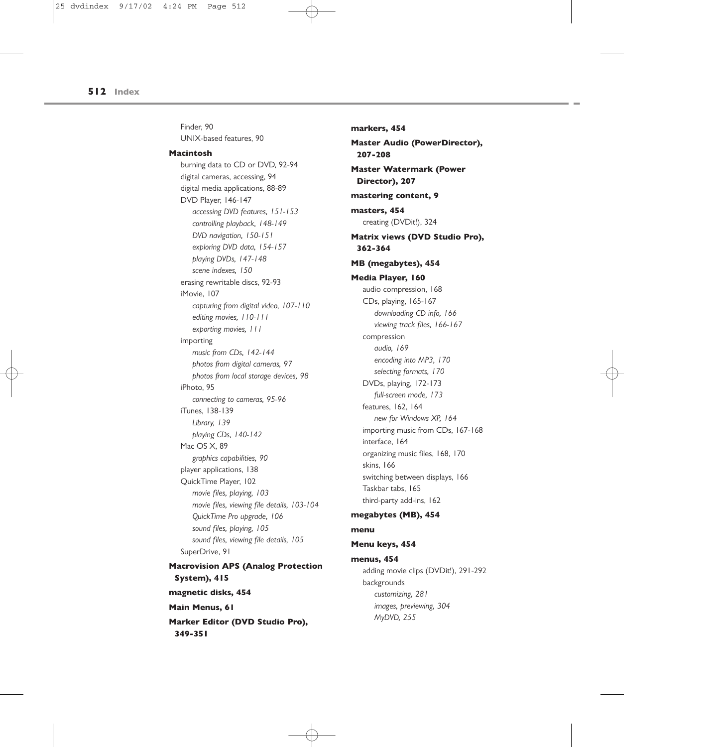Finder, 90 UNIX-based features, 90

#### **Macintosh**

burning data to CD or DVD, 92-94 digital cameras, accessing, 94 digital media applications, 88-89 DVD Player, 146-147 *accessing DVD features, 151-153 controlling playback, 148-149 DVD navigation, 150-151 exploring DVD data, 154-157 playing DVDs, 147-148 scene indexes, 150* erasing rewritable discs, 92-93 iMovie, 107 *capturing from digital video, 107-110 editing movies, 110-111 exporting movies, 111* importing *music from CDs, 142-144 photos from digital cameras, 97 photos from local storage devices, 98* iPhoto, 95 *connecting to cameras, 95-96* iTunes, 138-139 *Library, 139 playing CDs, 140-142* Mac OS X, 89 *graphics capabilities, 90* player applications, 138 QuickTime Player, 102 *movie files, playing, 103 movie files, viewing file details, 103-104 QuickTime Pro upgrade, 106 sound files, playing, 105 sound files, viewing file details, 105* SuperDrive, 91 **Macrovision APS (Analog Protection System), 415 magnetic disks, 454 Main Menus, 61 Marker Editor (DVD Studio Pro), 349-351**

**markers, 454 Master Audio (PowerDirector), 207-208 Master Watermark (Power Director), 207 mastering content, 9 masters, 454** creating (DVDit!), 324 **Matrix views (DVD Studio Pro), 362-364 MB (megabytes), 454 Media Player, 160** audio compression, 168 CDs, playing, 165-167 *downloading CD info, 166 viewing track files, 166-167* compression *audio, 169 encoding into MP3, 170 selecting formats, 170* DVDs, playing, 172-173 *full-screen mode, 173* features, 162, 164 *new for Windows XP, 164* importing music from CDs, 167-168 interface, 164 organizing music files, 168, 170 skins, 166 switching between displays, 166 Taskbar tabs, 165 third-party add-ins, 162 **megabytes (MB), 454 menu Menu keys, 454 menus, 454** adding movie clips (DVDit!), 291-292 backgrounds *customizing, 281 images, previewing, 304*

*MyDVD, 255*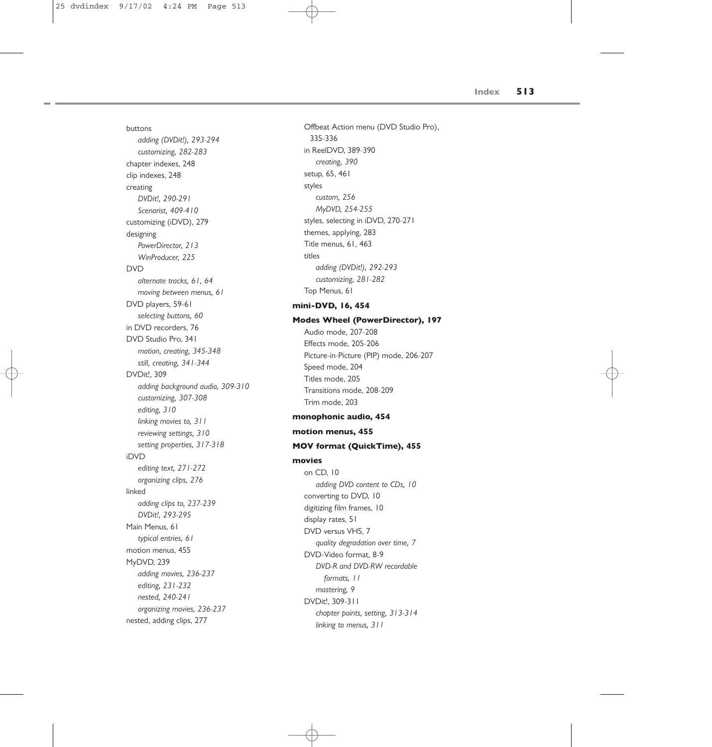buttons *adding (DVDit!), 293-294 customizing, 282-283* chapter indexes, 248 clip indexes, 248 creating *DVDit!, 290-291 Scenarist, 409-410* customizing (iDVD), 279 designing *PowerDirector, 213 WinProducer, 225* DVD *alternate tracks, 61, 64 moving between menus, 61* DVD players, 59-61 *selecting buttons, 60* in DVD recorders, 76 DVD Studio Pro, 341 *motion, creating, 345-348 still, creating, 341-344* DVDit!, 309 *adding background audio, 309-310 customizing, 307-308 editing, 310 linking movies to, 311 reviewing settings, 310 setting properties, 317-318* iDVD *editing text, 271-272 organizing clips, 276* linked *adding clips to, 237-239 DVDit!, 293-295* Main Menus, 61 *typical entries, 61* motion menus, 455 MyDVD, 239 *adding movies, 236-237 editing, 231-232 nested, 240-241 organizing movies, 236-237* nested, adding clips, 277

Offbeat Action menu (DVD Studio Pro), 335-336 in ReelDVD, 389-390 *creating, 390* setup, 65, 461 styles *custom, 256 MyDVD, 254-255* styles, selecting in iDVD, 270-271 themes, applying, 283 Title menus, 61, 463 titles *adding (DVDit!), 292-293 customizing, 281-282* Top Menus, 61 **mini-DVD, 16, 454**

**Modes Wheel (PowerDirector), 197**

Audio mode, 207-208 Effects mode, 205-206 Picture-in-Picture (PIP) mode, 206-207 Speed mode, 204 Titles mode, 205 Transitions mode, 208-209 Trim mode, 203

## **monophonic audio, 454**

## **motion menus, 455**

## **MOV format (QuickTime), 455**

## **movies**

on CD, 10 *adding DVD content to CDs, 10* converting to DVD, 10 digitizing film frames, 10 display rates, 51 DVD versus VHS, 7 *quality degradation over time, 7* DVD-Video format, 8-9 *DVD-R and DVD-RW recordable formats, 11 mastering, 9* DVDit!, 309-311 *chapter points, setting, 313-314 linking to menus, 311*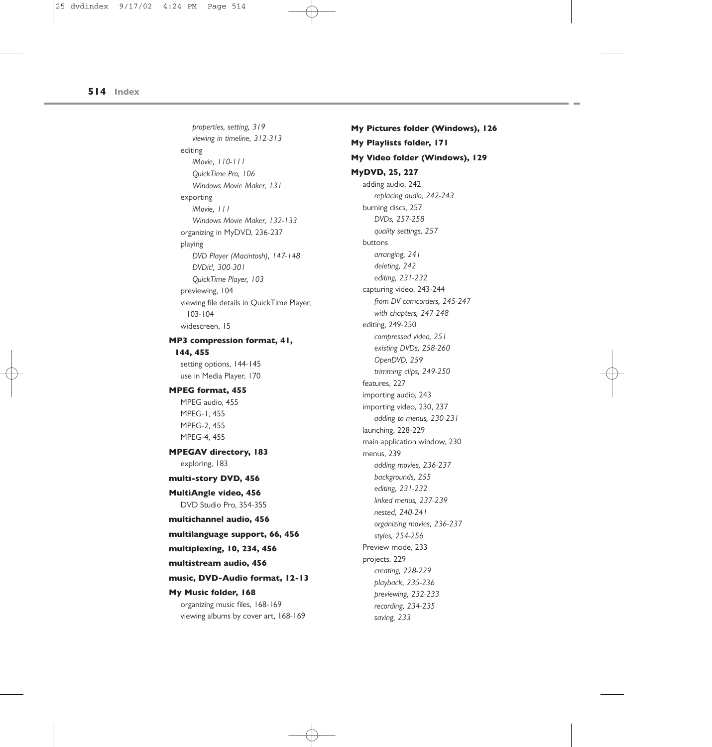*properties, setting, 319 viewing in timeline, 312-313* editing *iMovie, 110-111 QuickTime Pro, 106 Windows Movie Maker, 131* exporting *iMovie, 111 Windows Movie Maker, 132-133* organizing in MyDVD, 236-237 playing *DVD Player (Macintosh), 147-148 DVDit!, 300-301 QuickTime Player, 103* previewing, 104 viewing file details in QuickTime Player, 103-104 widescreen, 15

## **MP3 compression format, 41, 144, 455**

setting options, 144-145 use in Media Player, 170

### **MPEG format, 455**

MPEG audio, 455 MPEG-1, 455 MPEG-2, 455 MPEG-4, 455

## **MPEGAV directory, 183** exploring, 183

## **multi-story DVD, 456**

**MultiAngle video, 456** DVD Studio Pro, 354-355

## **multichannel audio, 456**

**multilanguage support, 66, 456**

### **multiplexing, 10, 234, 456**

**multistream audio, 456**

#### **music, DVD-Audio format, 12-13**

**My Music folder, 168**

organizing music files, 168-169 viewing albums by cover art, 168-169 **My Pictures folder (Windows), 126 My Playlists folder, 171 My Video folder (Windows), 129 MyDVD, 25, 227** adding audio, 242 *replacing audio, 242-243* burning discs, 257 *DVDs, 257-258 quality settings, 257* buttons *arranging, 241 deleting, 242 editing, 231-232* capturing video, 243-244 *from DV camcorders, 245-247 with chapters, 247-248* editing, 249-250 *compressed video, 251 existing DVDs, 258-260 OpenDVD, 259 trimming clips, 249-250* features, 227 importing audio, 243 importing video, 230, 237 *adding to menus, 230-231* launching, 228-229 main application window, 230 menus, 239 *adding movies, 236-237 backgrounds, 255 editing, 231-232 linked menus, 237-239 nested, 240-241 organizing movies, 236-237 styles, 254-256* Preview mode, 233 projects, 229 *creating, 228-229 playback, 235-236 previewing, 232-233 recording, 234-235 saving, 233*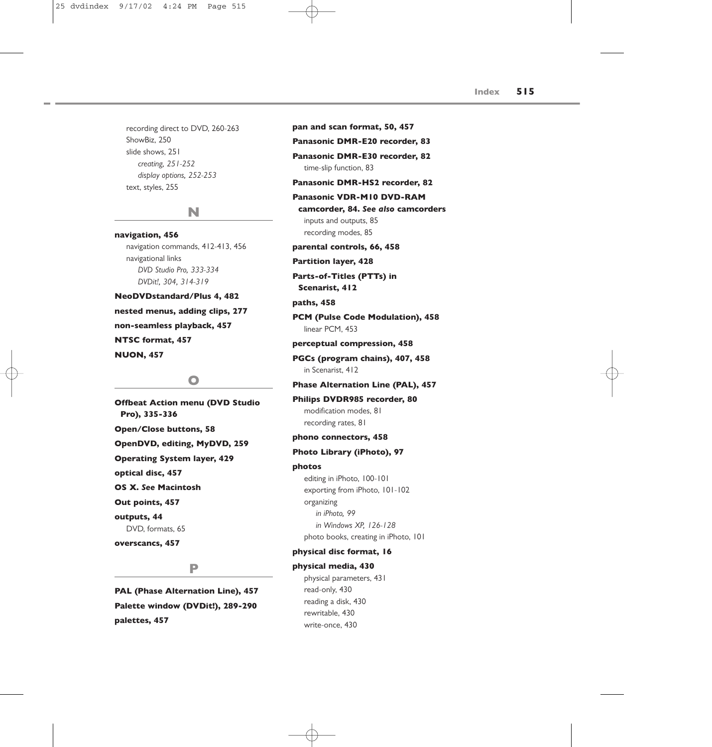recording direct to DVD, 260-263 ShowBiz, 250 slide shows, 251 *creating, 251-252 display options, 252-253* text, styles, 255

## **N**

**navigation, 456** navigation commands, 412-413, 456 navigational links *DVD Studio Pro, 333-334 DVDit!, 304, 314-319*

**NeoDVDstandard/Plus 4, 482 nested menus, adding clips, 277 non-seamless playback, 457 NTSC format, 457 NUON, 457**

## **O**

**Offbeat Action menu (DVD Studio Pro), 335-336 Open/Close buttons, 58 OpenDVD, editing, MyDVD, 259 Operating System layer, 429 optical disc, 457 OS X.** *See* **Macintosh Out points, 457 outputs, 44** DVD, formats, 65 **overscancs, 457**

## **P**

**PAL (Phase Alternation Line), 457 Palette window (DVDit!), 289-290 palettes, 457**

**pan and scan format, 50, 457 Panasonic DMR-E20 recorder, 83 Panasonic DMR-E30 recorder, 82** time-slip function, 83 **Panasonic DMR-HS2 recorder, 82 Panasonic VDR-M10 DVD-RAM camcorder, 84.** *See also* **camcorders** inputs and outputs, 85 recording modes, 85 **parental controls, 66, 458 Partition layer, 428 Parts-of-Titles (PTTs) in Scenarist, 412 paths, 458 PCM (Pulse Code Modulation), 458** linear PCM, 453 **perceptual compression, 458 PGCs (program chains), 407, 458** in Scenarist, 412 **Phase Alternation Line (PAL), 457 Philips DVDR985 recorder, 80** modification modes, 81 recording rates, 81 **phono connectors, 458 Photo Library (iPhoto), 97 photos** editing in iPhoto, 100-101 exporting from iPhoto, 101-102 organizing *in iPhoto, 99 in Windows XP, 126-128* photo books, creating in iPhoto, 101 **physical disc format, 16 physical media, 430** physical parameters, 431 read-only, 430 reading a disk, 430

> rewritable, 430 write-once, 430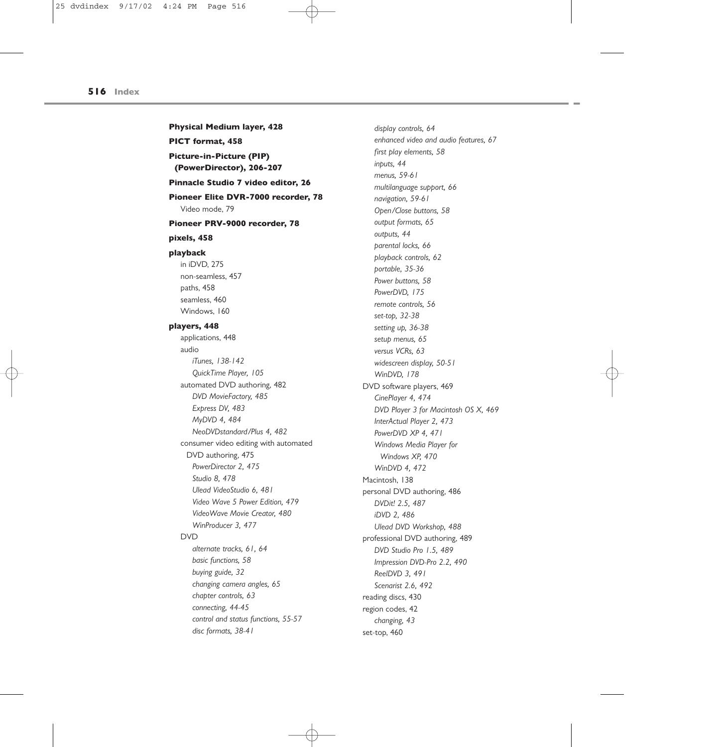**Physical Medium layer, 428 PICT format, 458 Picture-in-Picture (PIP) (PowerDirector), 206-207 Pinnacle Studio 7 video editor, 26 Pioneer Elite DVR-7000 recorder, 78** Video mode, 79 **Pioneer PRV-9000 recorder, 78 pixels, 458 playback** in iDVD, 275 non-seamless, 457 paths, 458 seamless, 460 Windows, 160 **players, 448** applications, 448 audio *iTunes, 138-142 QuickTime Player, 105* automated DVD authoring, 482 *DVD MovieFactory, 485 Express DV, 483 MyDVD 4, 484 NeoDVDstandard/Plus 4, 482* consumer video editing with automated DVD authoring, 475 *PowerDirector 2, 475 Studio 8, 478 Ulead VideoStudio 6, 481 Video Wave 5 Power Edition, 479 VideoWave Movie Creator, 480 WinProducer 3, 477* DVD *alternate tracks, 61, 64 basic functions, 58 buying guide, 32 changing camera angles, 65 chapter controls, 63 connecting, 44-45 control and status functions, 55-57 disc formats, 38-41*

*display controls, 64 enhanced video and audio features, 67 first play elements, 58 inputs, 44 menus, 59-61 multilanguage support, 66 navigation, 59-61 Open/Close buttons, 58 output formats, 65 outputs, 44 parental locks, 66 playback controls, 62 portable, 35-36 Power buttons, 58 PowerDVD, 175 remote controls, 56 set-top, 32-38 setting up, 36-38 setup menus, 65 versus VCRs, 63 widescreen display, 50-51 WinDVD, 178* DVD software players, 469 *CinePlayer 4, 474 DVD Player 3 for Macintosh OS X, 469 InterActual Player 2, 473 PowerDVD XP 4, 471 Windows Media Player for Windows XP, 470 WinDVD 4, 472* Macintosh, 138 personal DVD authoring, 486 *DVDit! 2.5, 487 iDVD 2, 486 Ulead DVD Workshop, 488* professional DVD authoring, 489 *DVD Studio Pro 1.5, 489 Impression DVD-Pro 2.2, 490 ReelDVD 3, 491 Scenarist 2.6, 492* reading discs, 430 region codes, 42 *changing, 43* set-top, 460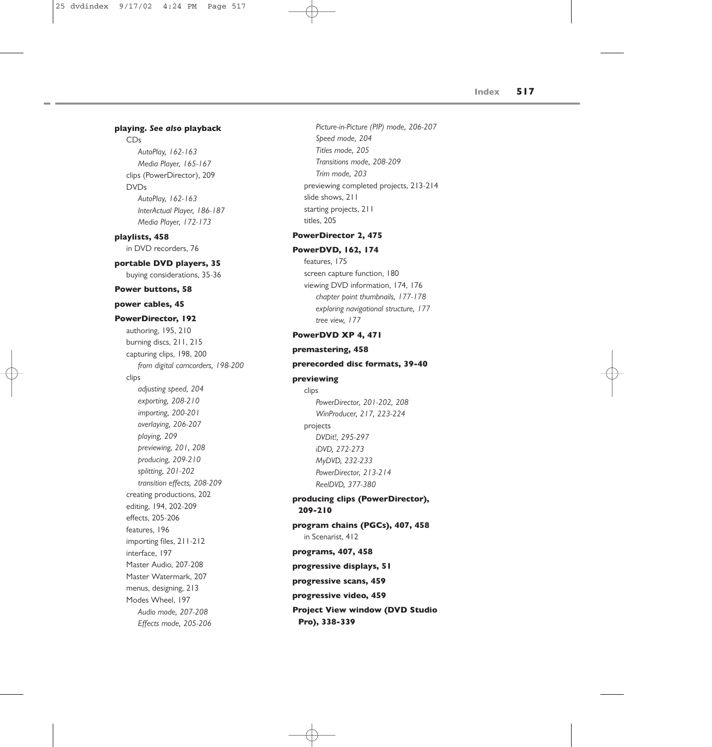### **playing.** *See also* **playback**

#### CDs

*AutoPlay, 162-163 Media Player, 165-167* clips (PowerDirector), 209 DVDs *AutoPlay, 162-163 InterActual Player, 186-187 Media Player, 172-173*

**playlists, 458** in DVD recorders, 76

#### **portable DVD players, 35**

buying considerations, 35-36

#### **Power buttons, 58**

### **power cables, 45**

### **PowerDirector, 192**

authoring, 195, 210 burning discs, 211, 215 capturing clips, 198, 200 *from digital camcorders, 198-200* clips *adjusting speed, 204 exporting, 208-210 importing, 200-201 overlaying, 206-207 playing, 209 previewing, 201, 208 producing, 209-210 splitting, 201-202 transition effects, 208-209* creating productions, 202 editing, 194, 202-209 effects, 205-206 features, 196 importing files, 211-212 interface, 197 Master Audio, 207-208 Master Watermark, 207 menus, designing, 213 Modes Wheel, 197 *Audio mode, 207-208 Effects mode, 205-206*

*Picture-in-Picture (PIP) mode, 206-207 Speed mode, 204 Titles mode, 205 Transitions mode, 208-209 Trim mode, 203* previewing completed projects, 213-214 slide shows, 211 starting projects, 211 titles, 205

## **PowerDirector 2, 475**

#### **PowerDVD, 162, 174**

features, 175 screen capture function, 180 viewing DVD information, 174, 176 *chapter point thumbnails, 177-178 exploring navigational structure, 177 tree view, 177*

### **PowerDVD XP 4, 471**

#### **premastering, 458**

### **prerecorded disc formats, 39-40**

#### **previewing**

clips *PowerDirector, 201-202, 208 WinProducer, 217, 223-224* projects *DVDit!, 295-297 iDVD, 272-273 MyDVD, 232-233 PowerDirector, 213-214 ReelDVD, 377-380*

## **producing clips (PowerDirector), 209-210**

**program chains (PGCs), 407, 458** in Scenarist, 412

**programs, 407, 458 progressive displays, 51 progressive scans, 459 progressive video, 459 Project View window (DVD Studio Pro), 338-339**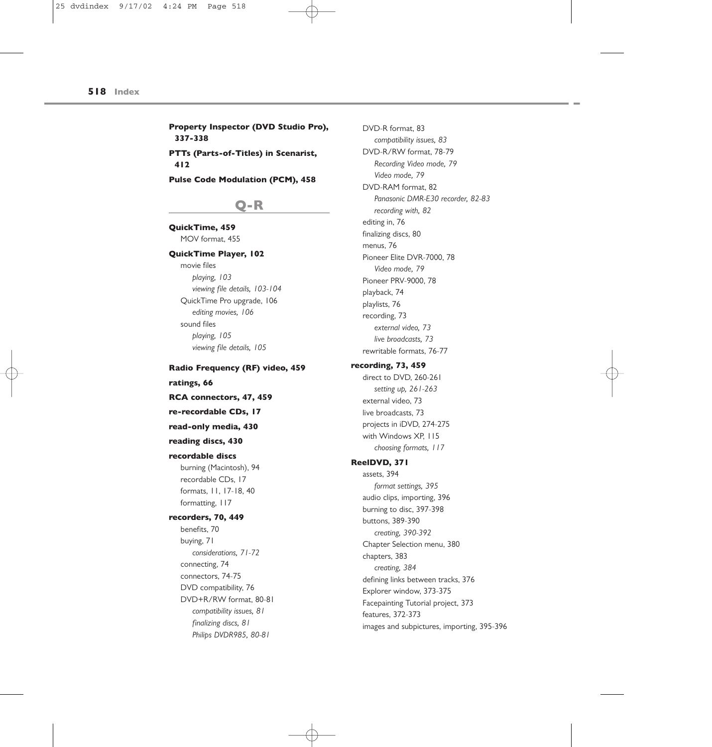**Property Inspector (DVD Studio Pro), 337-338 PTTs (Parts-of-Titles) in Scenarist, 412**

**Pulse Code Modulation (PCM), 458**

## **Q-R**

**QuickTime, 459** MOV format, 455

### **QuickTime Player, 102**

movie files *playing, 103 viewing file details, 103-104* QuickTime Pro upgrade, 106 *editing movies, 106* sound files *playing, 105 viewing file details, 105*

**Radio Frequency (RF) video, 459 ratings, 66 RCA connectors, 47, 459 re-recordable CDs, 17 read-only media, 430**

## **reading discs, 430**

#### **recordable discs**

burning (Macintosh), 94 recordable CDs, 17 formats, 11, 17-18, 40 formatting, 117

**recorders, 70, 449** benefits, 70 buying, 71 *considerations, 71-72* connecting, 74 connectors, 74-75 DVD compatibility, 76 DVD+R/RW format, 80-81 *compatibility issues, 81*

> *finalizing discs, 81 Philips DVDR985, 80-81*

*Video mode, 79* DVD-RAM format, 82 *Panasonic DMR-E30 recorder, 82-83 recording with, 82* editing in, 76 finalizing discs, 80 menus, 76 Pioneer Elite DVR-7000, 78 *Video mode, 79* Pioneer PRV-9000, 78 playback, 74 playlists, 76 recording, 73 *external video, 73 live broadcasts, 73* rewritable formats, 76-77 **recording, 73, 459** direct to DVD, 260-261 *setting up, 261-263* external video, 73 live broadcasts, 73 projects in iDVD, 274-275 with Windows XP, 115 *choosing formats, 117* **ReelDVD, 371** assets, 394 *format settings, 395* audio clips, importing, 396 burning to disc, 397-398 buttons, 389-390 *creating, 390-392* Chapter Selection menu, 380 chapters, 383 *creating, 384* defining links between tracks, 376 Explorer window, 373-375 Facepainting Tutorial project, 373 features, 372-373

images and subpictures, importing, 395-396

DVD-R format, 83

*compatibility issues, 83* DVD-R/RW format, 78-79 *Recording Video mode, 79*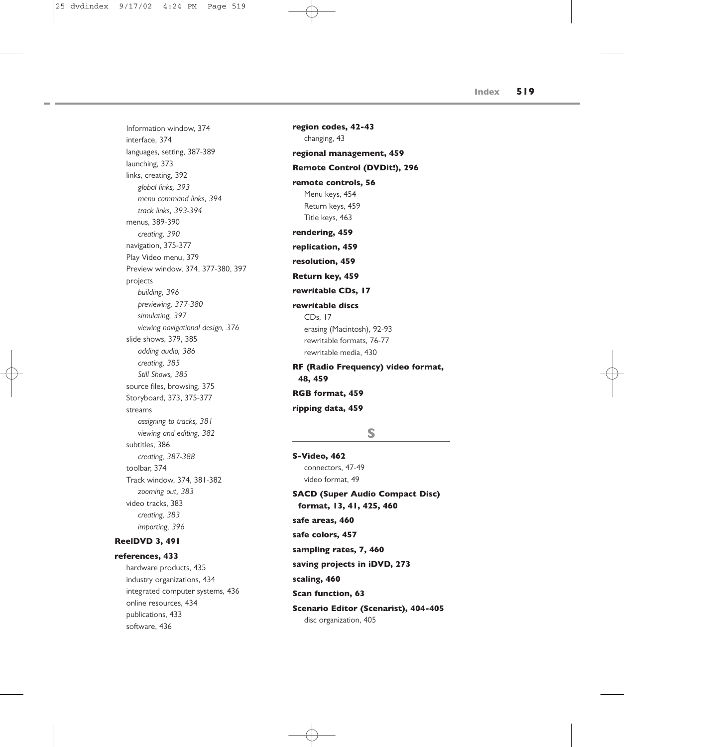Information window, 374 interface, 374 languages, setting, 387-389 launching, 373 links, creating, 392 *global links, 393 menu command links, 394 track links, 393-394* menus, 389-390 *creating, 390* navigation, 375-377 Play Video menu, 379 Preview window, 374, 377-380, 397 projects *building, 396 previewing, 377-380 simulating, 397 viewing navigational design, 376* slide shows, 379, 385 *adding audio, 386 creating, 385 Still Shows, 385* source files, browsing, 375 Storyboard, 373, 375-377 streams *assigning to tracks, 381 viewing and editing, 382* subtitles, 386 *creating, 387-388* toolbar, 374 Track window, 374, 381-382 *zooming out, 383* video tracks, 383 *creating, 383 importing, 396*

## **ReelDVD 3, 491**

```
references, 433
hardware products, 435
industry organizations, 434
integrated computer systems, 436
online resources, 434
publications, 433
software, 436
```
**region codes, 42-43** changing, 43 **regional management, 459 Remote Control (DVDit!), 296 remote controls, 56** Menu keys, 454 Return keys, 459 Title keys, 463 **rendering, 459 replication, 459 resolution, 459 Return key, 459 rewritable CDs, 17 rewritable discs** CDs, 17 erasing (Macintosh), 92-93 rewritable formats, 76-77 rewritable media, 430 **RF (Radio Frequency) video format, 48, 459 RGB format, 459 ripping data, 459**

## **S**

**S-Video, 462** connectors, 47-49 video format, 49 **SACD (Super Audio Compact Disc) format, 13, 41, 425, 460 safe areas, 460 safe colors, 457 sampling rates, 7, 460 saving projects in iDVD, 273 scaling, 460 Scan function, 63 Scenario Editor (Scenarist), 404-405** disc organization, 405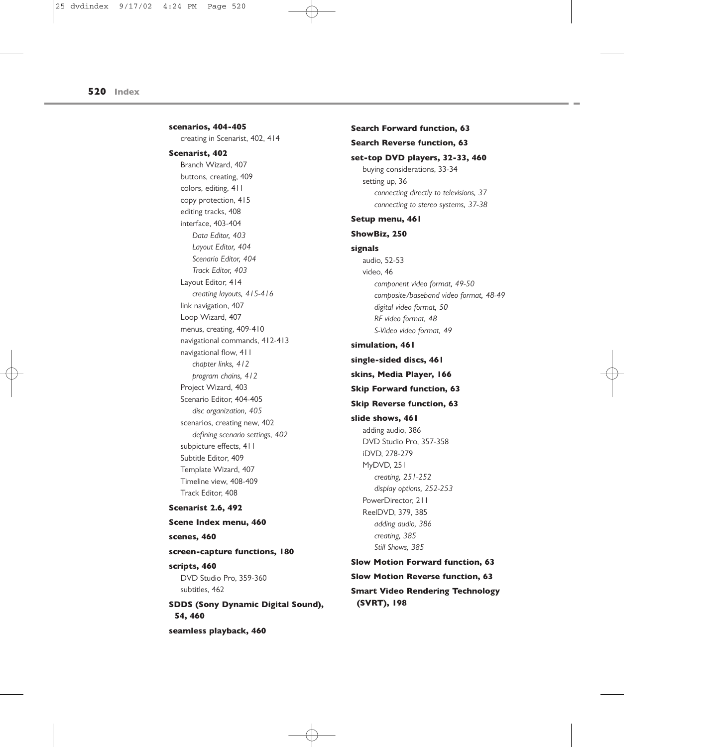**scenarios, 404-405** creating in Scenarist, 402, 414 **Scenarist, 402** Branch Wizard, 407 buttons, creating, 409 colors, editing, 411 copy protection, 415 editing tracks, 408 interface, 403-404 *Data Editor, 403 Layout Editor, 404 Scenario Editor, 404 Track Editor, 403* Layout Editor, 414 *creating layouts, 415-416* link navigation, 407 Loop Wizard, 407 menus, creating, 409-410 navigational commands, 412-413 navigational flow, 411 *chapter links, 412 program chains, 412* Project Wizard, 403 Scenario Editor, 404-405 *disc organization, 405* scenarios, creating new, 402 *defining scenario settings, 402* subpicture effects, 411 Subtitle Editor, 409 Template Wizard, 407 Timeline view, 408-409

## Track Editor, 408 **Scenarist 2.6, 492 Scene Index menu, 460 scenes, 460 screen-capture functions, 180 scripts, 460** DVD Studio Pro, 359-360 subtitles, 462 **SDDS (Sony Dynamic Digital Sound), 54, 460**

**seamless playback, 460**

### **Search Forward function, 63**

### **Search Reverse function, 63**

**set-top DVD players, 32-33, 460** buying considerations, 33-34 setting up, 36 *connecting directly to televisions, 37 connecting to stereo systems, 37-38*

## **Setup menu, 461**

iDVD, 278-279 MyDVD, 251

> *creating, 251-252 display options, 252-253*

PowerDirector, 211

## **ShowBiz, 250**

**signals** audio, 52-53 video, 46 *component video format, 49-50 composite/baseband video format, 48-49 digital video format, 50 RF video format, 48 S-Video video format, 49* **simulation, 461 single-sided discs, 461 skins, Media Player, 166 Skip Forward function, 63 Skip Reverse function, 63 slide shows, 461** adding audio, 386 DVD Studio Pro, 357-358

ReelDVD, 379, 385 *adding audio, 386 creating, 385 Still Shows, 385* **Slow Motion Forward function, 63 Slow Motion Reverse function, 63 Smart Video Rendering Technology (SVRT), 198**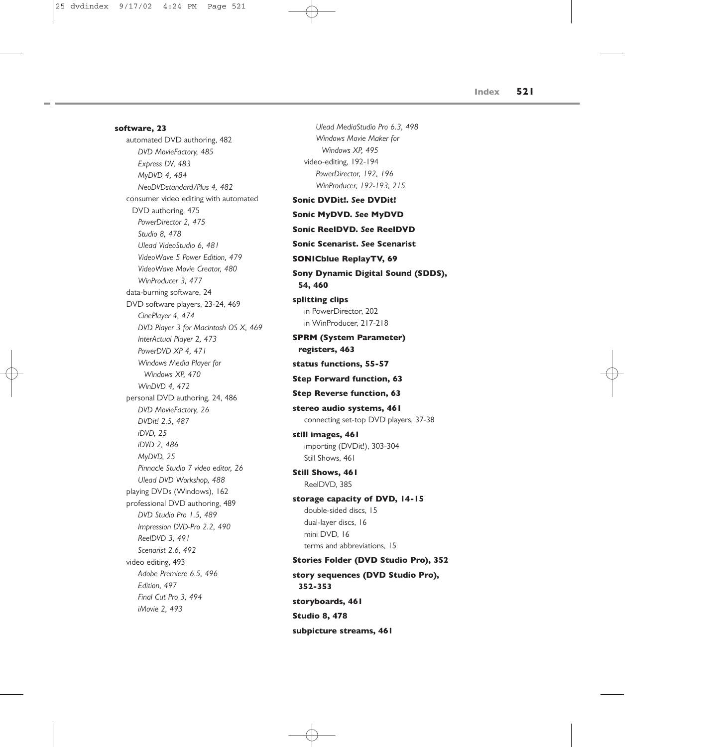**software, 23** automated DVD authoring, 482 *DVD MovieFactory, 485 Express DV, 483 MyDVD 4, 484 NeoDVDstandard/Plus 4, 482* consumer video editing with automated DVD authoring, 475 *PowerDirector 2, 475 Studio 8, 478 Ulead VideoStudio 6, 481 VideoWave 5 Power Edition, 479 VideoWave Movie Creator, 480 WinProducer 3, 477* data-burning software, 24 DVD software players, 23-24, 469 *CinePlayer 4, 474 DVD Player 3 for Macintosh OS X, 469 InterActual Player 2, 473 PowerDVD XP 4, 471 Windows Media Player for Windows XP, 470 WinDVD 4, 472* personal DVD authoring, 24, 486 *DVD MovieFactory, 26 DVDit! 2.5, 487 iDVD, 25 iDVD 2, 486 MyDVD, 25 Pinnacle Studio 7 video editor, 26 Ulead DVD Workshop, 488* playing DVDs (Windows), 162 professional DVD authoring, 489 *DVD Studio Pro 1.5, 489 Impression DVD-Pro 2.2, 490 ReelDVD 3, 491 Scenarist 2.6, 492* video editing, 493 *Adobe Premiere 6.5, 496 Edition, 497 Final Cut Pro 3, 494 iMovie 2, 493*

*Ulead MediaStudio Pro 6.3, 498 Windows Movie Maker for Windows XP, 495* video-editing, 192-194 *PowerDirector, 192, 196 WinProducer, 192-193, 215* **Sonic DVDit!.** *See* **DVDit! Sonic MyDVD.** *See* **MyDVD Sonic ReelDVD.** *See* **ReelDVD Sonic Scenarist.** *See* **Scenarist SONICblue ReplayTV, 69 Sony Dynamic Digital Sound (SDDS), 54, 460 splitting clips** in PowerDirector, 202 in WinProducer, 217-218 **SPRM (System Parameter) registers, 463 status functions, 55-57 Step Forward function, 63 Step Reverse function, 63 stereo audio systems, 461** connecting set-top DVD players, 37-38 **still images, 461** importing (DVDit!), 303-304 Still Shows, 461 **Still Shows, 461** ReelDVD, 385 **storage capacity of DVD, 14-15** double-sided discs, 15 dual-layer discs, 16 mini DVD, 16 terms and abbreviations, 15 **Stories Folder (DVD Studio Pro), 352 story sequences (DVD Studio Pro), 352-353 storyboards, 461 Studio 8, 478**

**subpicture streams, 461**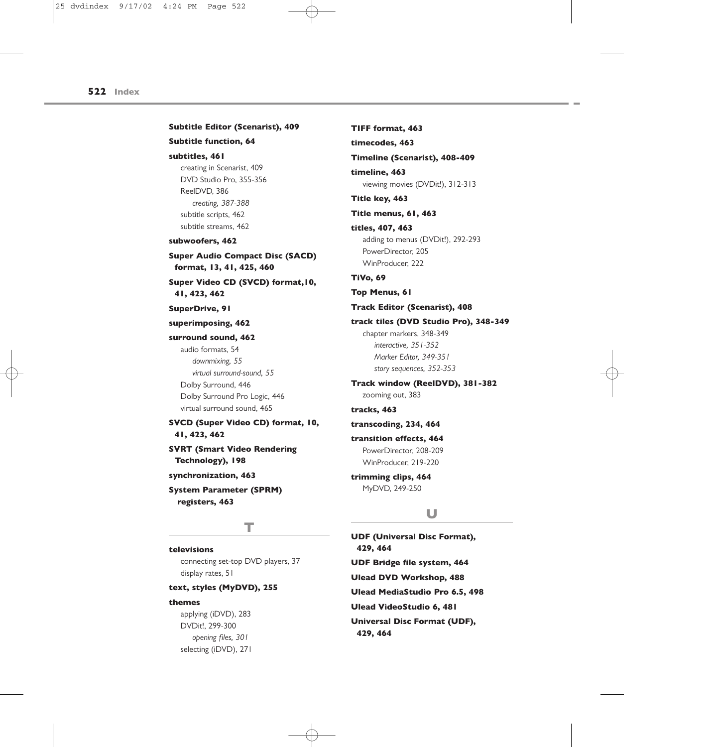## **Subtitle Editor (Scenarist), 409 Subtitle function, 64 subtitles, 461** creating in Scenarist, 409 DVD Studio Pro, 355-356 ReelDVD, 386 *creating, 387-388* subtitle scripts, 462 subtitle streams, 462 **subwoofers, 462 Super Audio Compact Disc (SACD) format, 13, 41, 425, 460 Super Video CD (SVCD) format,10, 41, 423, 462 SuperDrive, 91 superimposing, 462 surround sound, 462** audio formats, 54 *downmixing, 55 virtual surround-sound, 55* Dolby Surround, 446 Dolby Surround Pro Logic, 446 virtual surround sound, 465 **SVCD (Super Video CD) format, 10, 41, 423, 462 SVRT (Smart Video Rendering Technology), 198 synchronization, 463 System Parameter (SPRM) registers, 463**

## **T**

### **televisions**

connecting set-top DVD players, 37 display rates, 51

#### **text, styles (MyDVD), 255**

### **themes**

applying (iDVD), 283 DVDit!, 299-300 *opening files, 301* selecting (iDVD), 271

**TIFF format, 463 timecodes, 463 Timeline (Scenarist), 408-409 timeline, 463** viewing movies (DVDit!), 312-313 **Title key, 463 Title menus, 61, 463 titles, 407, 463** adding to menus (DVDit!), 292-293 PowerDirector, 205 WinProducer, 222 **TiVo, 69 Top Menus, 61 Track Editor (Scenarist), 408 track tiles (DVD Studio Pro), 348-349** chapter markers, 348-349 *interactive, 351-352 Marker Editor, 349-351 story sequences, 352-353* **Track window (ReelDVD), 381-382** zooming out, 383 **tracks, 463 transcoding, 234, 464 transition effects, 464** PowerDirector, 208-209 WinProducer, 219-220 **trimming clips, 464** MyDVD, 249-250

## **U**

**UDF (Universal Disc Format), 429, 464 UDF Bridge file system, 464 Ulead DVD Workshop, 488 Ulead MediaStudio Pro 6.5, 498 Ulead VideoStudio 6, 481 Universal Disc Format (UDF), 429, 464**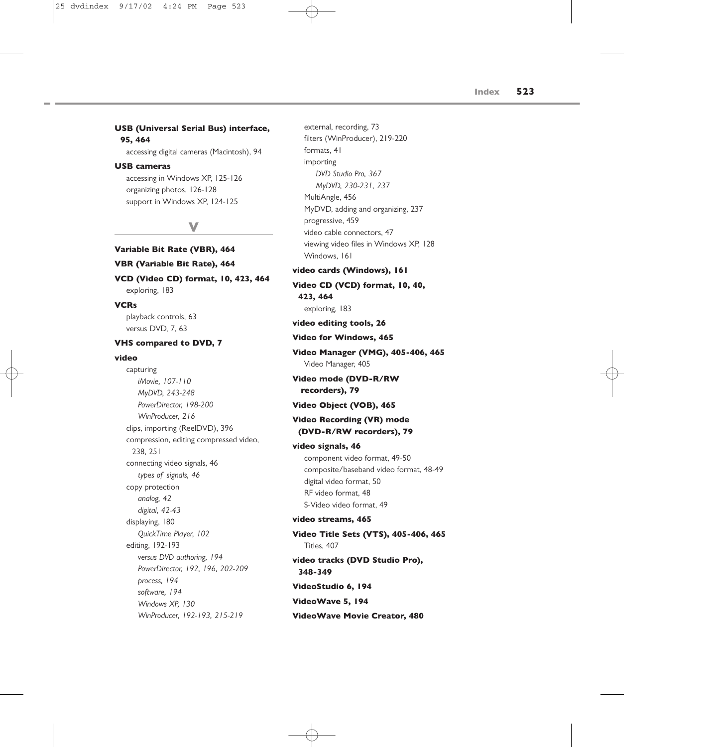## **USB (Universal Serial Bus) interface, 95, 464**

accessing digital cameras (Macintosh), 94

## **USB cameras**

accessing in Windows XP, 125-126 organizing photos, 126-128 support in Windows XP, 124-125

## **V**

## **Variable Bit Rate (VBR), 464 VBR (Variable Bit Rate), 464**

**VCD (Video CD) format, 10, 423, 464** exploring, 183

## **VCRs**

playback controls, 63 versus DVD, 7, 63

### **VHS compared to DVD, 7**

#### **video**

capturing *iMovie, 107-110 MyDVD, 243-248 PowerDirector, 198-200 WinProducer, 216* clips, importing (ReelDVD), 396 compression, editing compressed video, 238, 251 connecting video signals, 46 *types of signals, 46* copy protection *analog, 42 digital, 42-43* displaying, 180 *QuickTime Player, 102* editing, 192-193 *versus DVD authoring, 194 PowerDirector, 192, 196, 202-209 process, 194 software, 194 Windows XP, 130 WinProducer, 192-193, 215-219*

filters (WinProducer), 219-220 formats, 41 importing *DVD Studio Pro, 367 MyDVD, 230-231, 237* MultiAngle, 456 MyDVD, adding and organizing, 237 progressive, 459 video cable connectors, 47 viewing video files in Windows XP, 128 Windows, 161 **video cards (Windows), 161 Video CD (VCD) format, 10, 40, 423, 464** exploring, 183 **video editing tools, 26 Video for Windows, 465 Video Manager (VMG), 405-406, 465** Video Manager, 405 **Video mode (DVD-R/RW recorders), 79 Video Object (VOB), 465 Video Recording (VR) mode (DVD-R/RW recorders), 79 video signals, 46** component video format, 49-50 composite/baseband video format, 48-49 digital video format, 50 RF video format, 48 S-Video video format, 49 **video streams, 465 Video Title Sets (VTS), 405-406, 465** Titles, 407 **video tracks (DVD Studio Pro), 348-349 VideoStudio 6, 194 VideoWave 5, 194 VideoWave Movie Creator, 480**

external, recording, 73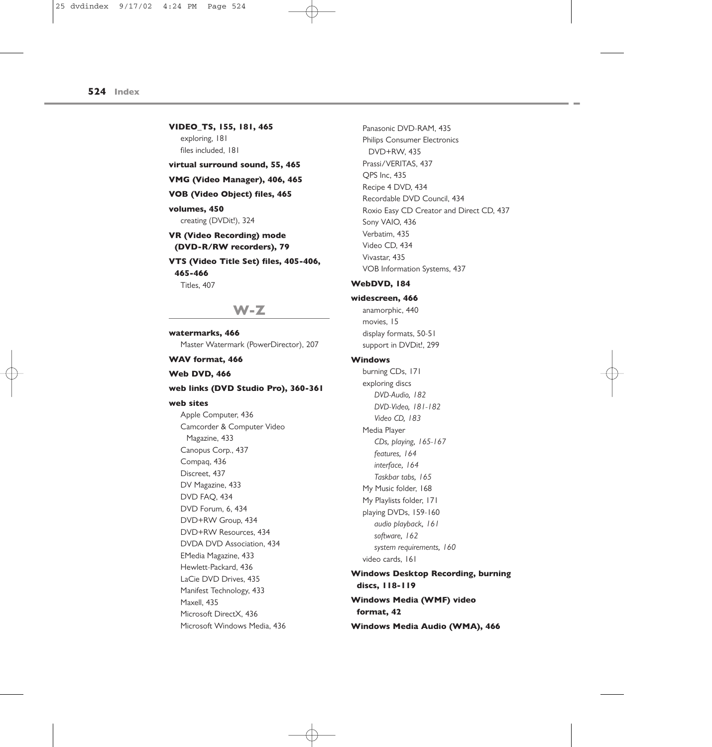**VIDEO\_TS, 155, 181, 465** exploring, 181 files included, 181 **virtual surround sound, 55, 465 VMG (Video Manager), 406, 465**

## **VOB (Video Object) files, 465**

## **volumes, 450**

#### creating (DVDit!), 324

## **VR (Video Recording) mode (DVD-R/RW recorders), 79**

**VTS (Video Title Set) files, 405-406, 465-466** Titles, 407

**W-Z**

### **watermarks, 466**

Master Watermark (PowerDirector), 207

## **WAV format, 466**

### **Web DVD, 466**

### **web links (DVD Studio Pro), 360-361**

#### **web sites**

Apple Computer, 436 Camcorder & Computer Video Magazine, 433 Canopus Corp., 437 Compaq, 436 Discreet, 437 DV Magazine, 433 DVD FAQ, 434 DVD Forum, 6, 434 DVD+RW Group, 434 DVD+RW Resources, 434 DVDA DVD Association, 434 EMedia Magazine, 433 Hewlett-Packard, 436 LaCie DVD Drives, 435 Manifest Technology, 433 Maxell, 435 Microsoft DirectX, 436 Microsoft Windows Media, 436

Panasonic DVD-RAM, 435 Philips Consumer Electronics DVD+RW, 435 Prassi/VERITAS, 437 QPS Inc, 435 Recipe 4 DVD, 434 Recordable DVD Council, 434 Roxio Easy CD Creator and Direct CD, 437 Sony VAIO, 436 Verbatim, 435 Video CD, 434 Vivastar, 435 VOB Information Systems, 437

### **WebDVD, 184**

#### **widescreen, 466**

anamorphic, 440 movies, 15 display formats, 50-51 support in DVDit!, 299

## **Windows**

burning CDs, 171 exploring discs *DVD-Audio, 182 DVD-Video, 181-182 Video CD, 183* Media Player *CDs, playing, 165-167 features, 164 interface, 164 Taskbar tabs, 165* My Music folder, 168 My Playlists folder, 171 playing DVDs, 159-160 *audio playback, 161 software, 162 system requirements, 160* video cards, 161 **Windows Desktop Recording, burning**

**discs, 118-119 Windows Media (WMF) video format, 42 Windows Media Audio (WMA), 466**